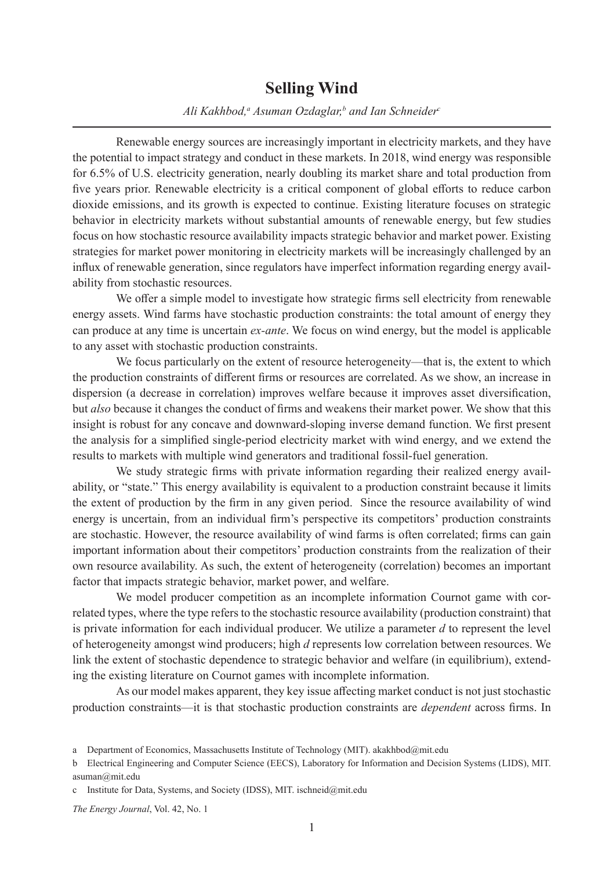#### **Selling Wind**

#### *Ali Kakhbod,a Asuman Ozdaglar,b and Ian Schneiderc*

Renewable energy sources are increasingly important in electricity markets, and they have the potential to impact strategy and conduct in these markets. In 2018, wind energy was responsible for 6.5% of U.S. electricity generation, nearly doubling its market share and total production from five years prior. Renewable electricity is a critical component of global efforts to reduce carbon dioxide emissions, and its growth is expected to continue. Existing literature focuses on strategic behavior in electricity markets without substantial amounts of renewable energy, but few studies focus on how stochastic resource availability impacts strategic behavior and market power. Existing strategies for market power monitoring in electricity markets will be increasingly challenged by an influx of renewable generation, since regulators have imperfect information regarding energy availability from stochastic resources.

We offer a simple model to investigate how strategic firms sell electricity from renewable energy assets. Wind farms have stochastic production constraints: the total amount of energy they can produce at any time is uncertain *ex-ante*. We focus on wind energy, but the model is applicable to any asset with stochastic production constraints.

We focus particularly on the extent of resource heterogeneity—that is, the extent to which the production constraints of different firms or resources are correlated. As we show, an increase in dispersion (a decrease in correlation) improves welfare because it improves asset diversification, but *also* because it changes the conduct of firms and weakens their market power. We show that this insight is robust for any concave and downward-sloping inverse demand function. We first present the analysis for a simplified single-period electricity market with wind energy, and we extend the results to markets with multiple wind generators and traditional fossil-fuel generation.

We study strategic firms with private information regarding their realized energy availability, or "state." This energy availability is equivalent to a production constraint because it limits the extent of production by the firm in any given period. Since the resource availability of wind energy is uncertain, from an individual firm's perspective its competitors' production constraints are stochastic. However, the resource availability of wind farms is often correlated; firms can gain important information about their competitors' production constraints from the realization of their own resource availability. As such, the extent of heterogeneity (correlation) becomes an important factor that impacts strategic behavior, market power, and welfare.

We model producer competition as an incomplete information Cournot game with correlated types, where the type refers to the stochastic resource availability (production constraint) that is private information for each individual producer. We utilize a parameter *d* to represent the level of heterogeneity amongst wind producers; high *d* represents low correlation between resources. We link the extent of stochastic dependence to strategic behavior and welfare (in equilibrium), extending the existing literature on Cournot games with incomplete information.

As our model makes apparent, they key issue affecting market conduct is not just stochastic production constraints—it is that stochastic production constraints are *dependent* across firms. In

a Department of Economics, Massachusetts Institute of Technology (MIT). akakhbod@mit.edu

b Electrical Engineering and Computer Science (EECS), Laboratory for Information and Decision Systems (LIDS), MIT. asuman@mit.edu

c Institute for Data, Systems, and Society (IDSS), MIT. ischneid@mit.edu

*The Energy Journal*, Vol. 42, No. 1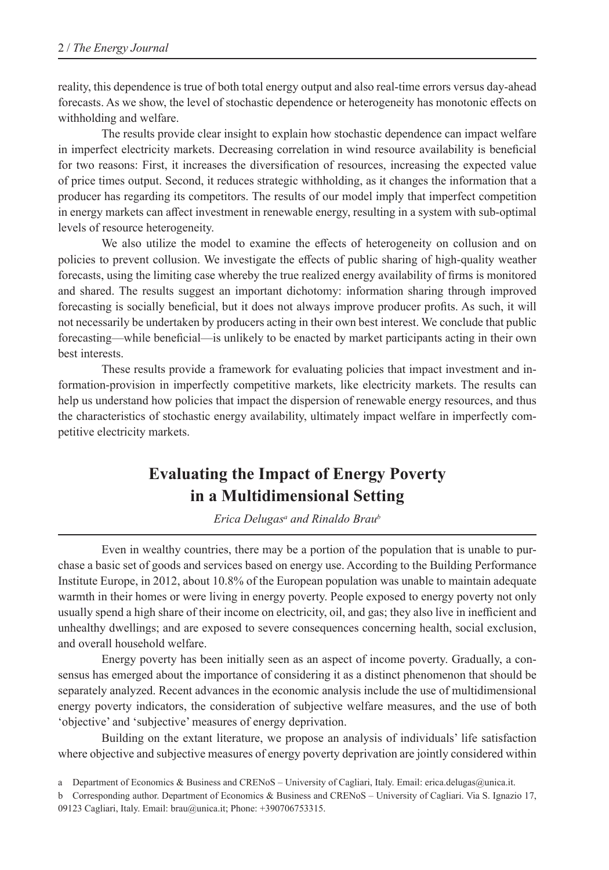reality, this dependence is true of both total energy output and also real-time errors versus day-ahead forecasts. As we show, the level of stochastic dependence or heterogeneity has monotonic effects on withholding and welfare.

The results provide clear insight to explain how stochastic dependence can impact welfare in imperfect electricity markets. Decreasing correlation in wind resource availability is beneficial for two reasons: First, it increases the diversification of resources, increasing the expected value of price times output. Second, it reduces strategic withholding, as it changes the information that a producer has regarding its competitors. The results of our model imply that imperfect competition in energy markets can affect investment in renewable energy, resulting in a system with sub-optimal levels of resource heterogeneity.

We also utilize the model to examine the effects of heterogeneity on collusion and on policies to prevent collusion. We investigate the effects of public sharing of high-quality weather forecasts, using the limiting case whereby the true realized energy availability of firms is monitored and shared. The results suggest an important dichotomy: information sharing through improved forecasting is socially beneficial, but it does not always improve producer profits. As such, it will not necessarily be undertaken by producers acting in their own best interest. We conclude that public forecasting—while beneficial—is unlikely to be enacted by market participants acting in their own best interests.

These results provide a framework for evaluating policies that impact investment and information-provision in imperfectly competitive markets, like electricity markets. The results can help us understand how policies that impact the dispersion of renewable energy resources, and thus the characteristics of stochastic energy availability, ultimately impact welfare in imperfectly competitive electricity markets.

## **Evaluating the Impact of Energy Poverty in a Multidimensional Setting**

*Erica Delugasa and Rinaldo Braub*

Even in wealthy countries, there may be a portion of the population that is unable to purchase a basic set of goods and services based on energy use. According to the Building Performance Institute Europe, in 2012, about 10.8% of the European population was unable to maintain adequate warmth in their homes or were living in energy poverty. People exposed to energy poverty not only usually spend a high share of their income on electricity, oil, and gas; they also live in inefficient and unhealthy dwellings; and are exposed to severe consequences concerning health, social exclusion, and overall household welfare.

Energy poverty has been initially seen as an aspect of income poverty. Gradually, a consensus has emerged about the importance of considering it as a distinct phenomenon that should be separately analyzed. Recent advances in the economic analysis include the use of multidimensional energy poverty indicators, the consideration of subjective welfare measures, and the use of both 'objective' and 'subjective' measures of energy deprivation.

Building on the extant literature, we propose an analysis of individuals' life satisfaction where objective and subjective measures of energy poverty deprivation are jointly considered within

a Department of Economics & Business and CRENoS – University of Cagliari, Italy. Email: erica.delugas@unica.it.

b Corresponding author. Department of Economics & Business and CRENoS – University of Cagliari. Via S. Ignazio 17, 09123 Cagliari, Italy. Email: brau@unica.it; Phone: +390706753315.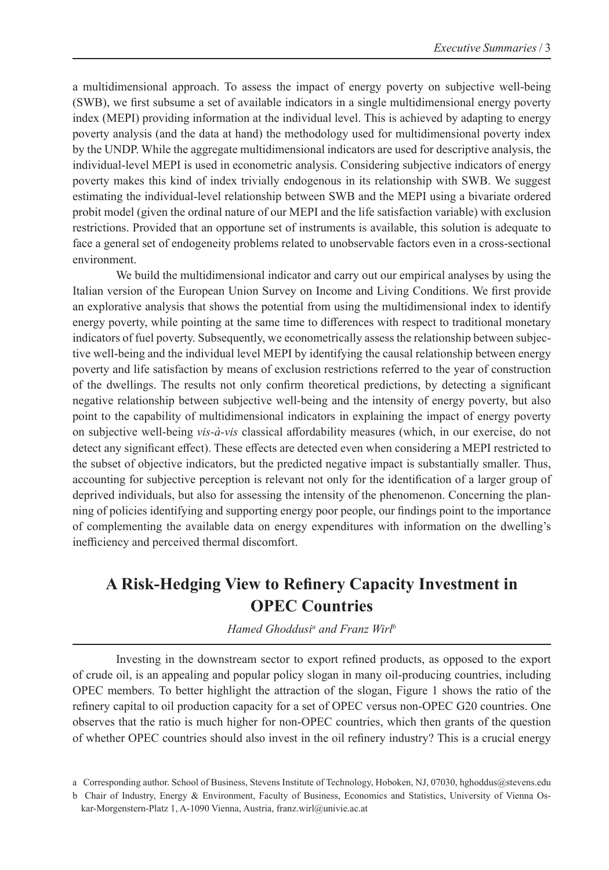a multidimensional approach. To assess the impact of energy poverty on subjective well-being (SWB), we first subsume a set of available indicators in a single multidimensional energy poverty index (MEPI) providing information at the individual level. This is achieved by adapting to energy poverty analysis (and the data at hand) the methodology used for multidimensional poverty index by the UNDP. While the aggregate multidimensional indicators are used for descriptive analysis, the individual-level MEPI is used in econometric analysis. Considering subjective indicators of energy poverty makes this kind of index trivially endogenous in its relationship with SWB. We suggest estimating the individual-level relationship between SWB and the MEPI using a bivariate ordered probit model (given the ordinal nature of our MEPI and the life satisfaction variable) with exclusion restrictions. Provided that an opportune set of instruments is available, this solution is adequate to face a general set of endogeneity problems related to unobservable factors even in a cross-sectional environment.

We build the multidimensional indicator and carry out our empirical analyses by using the Italian version of the European Union Survey on Income and Living Conditions. We first provide an explorative analysis that shows the potential from using the multidimensional index to identify energy poverty, while pointing at the same time to differences with respect to traditional monetary indicators of fuel poverty. Subsequently, we econometrically assess the relationship between subjective well-being and the individual level MEPI by identifying the causal relationship between energy poverty and life satisfaction by means of exclusion restrictions referred to the year of construction of the dwellings. The results not only confirm theoretical predictions, by detecting a significant negative relationship between subjective well-being and the intensity of energy poverty, but also point to the capability of multidimensional indicators in explaining the impact of energy poverty on subjective well-being *vis-à-vis* classical affordability measures (which, in our exercise, do not detect any significant effect). These effects are detected even when considering a MEPI restricted to the subset of objective indicators, but the predicted negative impact is substantially smaller. Thus, accounting for subjective perception is relevant not only for the identification of a larger group of deprived individuals, but also for assessing the intensity of the phenomenon. Concerning the planning of policies identifying and supporting energy poor people, our findings point to the importance of complementing the available data on energy expenditures with information on the dwelling's inefficiency and perceived thermal discomfort.

## **A Risk-Hedging View to Refinery Capacity Investment in OPEC Countries**

*Hamed Ghoddusi<sup>a</sup> and Franz Wirl<sup>b</sup>* 

Investing in the downstream sector to export refined products, as opposed to the export of crude oil, is an appealing and popular policy slogan in many oil-producing countries, including OPEC members. To better highlight the attraction of the slogan, Figure 1 shows the ratio of the refinery capital to oil production capacity for a set of OPEC versus non-OPEC G20 countries. One observes that the ratio is much higher for non-OPEC countries, which then grants of the question of whether OPEC countries should also invest in the oil refinery industry? This is a crucial energy

a Corresponding author. School of Business, Stevens Institute of Technology, Hoboken, NJ, 07030, hghoddus@stevens.edu

b Chair of Industry, Energy & Environment, Faculty of Business, Economics and Statistics, University of Vienna Oskar-Morgenstern-Platz 1, A-1090 Vienna, Austria, franz.wirl@univie.ac.at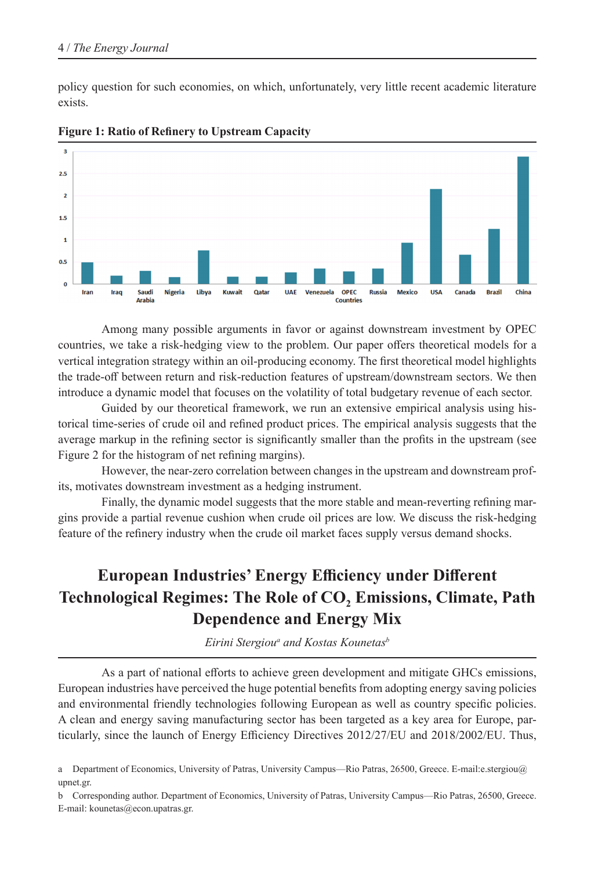policy question for such economies, on which, unfortunately, very little recent academic literature exists.



**Figure 1: Ratio of Refinery to Upstream Capacity**

Among many possible arguments in favor or against downstream investment by OPEC countries, we take a risk-hedging view to the problem. Our paper offers theoretical models for a vertical integration strategy within an oil-producing economy. The first theoretical model highlights the trade-off between return and risk-reduction features of upstream/downstream sectors. We then introduce a dynamic model that focuses on the volatility of total budgetary revenue of each sector.

Guided by our theoretical framework, we run an extensive empirical analysis using historical time-series of crude oil and refined product prices. The empirical analysis suggests that the average markup in the refining sector is significantly smaller than the profits in the upstream (see Figure 2 for the histogram of net refining margins).

However, the near-zero correlation between changes in the upstream and downstream profits, motivates downstream investment as a hedging instrument.

Finally, the dynamic model suggests that the more stable and mean-reverting refining margins provide a partial revenue cushion when crude oil prices are low. We discuss the risk-hedging feature of the refinery industry when the crude oil market faces supply versus demand shocks.

# **European Industries' Energy Efficiency under Different Technological Regimes: The Role of CO2 Emissions, Climate, Path Dependence and Energy Mix**

*Eirini Stergioua and Kostas Kounetasb*

As a part of national efforts to achieve green development and mitigate GHCs emissions, European industries have perceived the huge potential benefits from adopting energy saving policies and environmental friendly technologies following European as well as country specific policies. A clean and energy saving manufacturing sector has been targeted as a key area for Europe, particularly, since the launch of Energy Efficiency Directives 2012/27/EU and 2018/2002/EU. Thus,

a Department of Economics, University of Patras, University Campus—Rio Patras, 26500, Greece. E-mail:e.stergiou@ upnet.gr.

b Corresponding author. Department of Economics, University of Patras, University Campus—Rio Patras, 26500, Greece. E-mail: kounetas@econ.upatras.gr.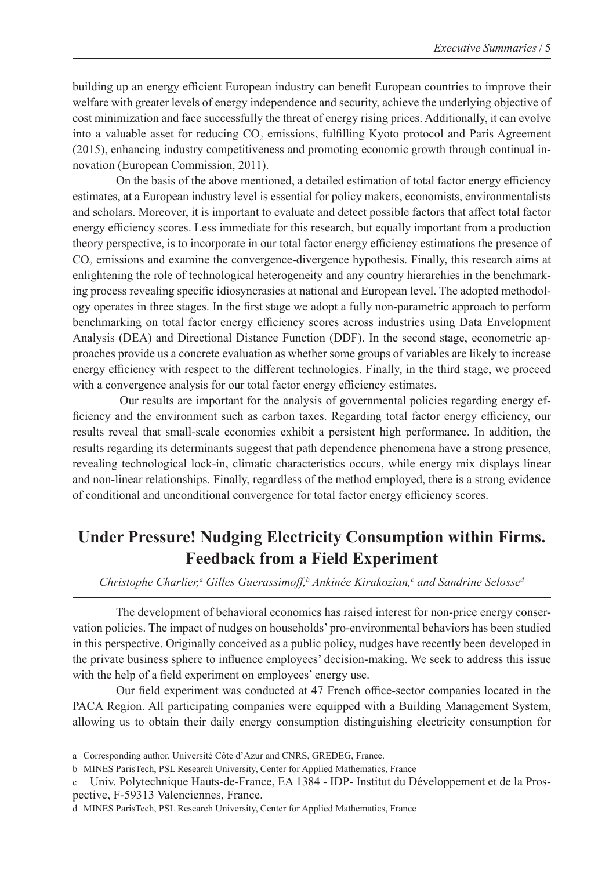building up an energy efficient European industry can benefit European countries to improve their welfare with greater levels of energy independence and security, achieve the underlying objective of cost minimization and face successfully the threat of energy rising prices. Additionally, it can evolve into a valuable asset for reducing CO<sub>2</sub> emissions, fulfilling Kyoto protocol and Paris Agreement (2015), enhancing industry competitiveness and promoting economic growth through continual innovation (European Commission, 2011).

On the basis of the above mentioned, a detailed estimation of total factor energy efficiency estimates, at a European industry level is essential for policy makers, economists, environmentalists and scholars. Moreover, it is important to evaluate and detect possible factors that affect total factor energy efficiency scores. Less immediate for this research, but equally important from a production theory perspective, is to incorporate in our total factor energy efficiency estimations the presence of CO<sub>2</sub> emissions and examine the convergence-divergence hypothesis. Finally, this research aims at enlightening the role of technological heterogeneity and any country hierarchies in the benchmarking process revealing specific idiosyncrasies at national and European level. The adopted methodology operates in three stages. In the first stage we adopt a fully non-parametric approach to perform benchmarking on total factor energy efficiency scores across industries using Data Envelopment Analysis (DEA) and Directional Distance Function (DDF). In the second stage, econometric approaches provide us a concrete evaluation as whether some groups of variables are likely to increase energy efficiency with respect to the different technologies. Finally, in the third stage, we proceed with a convergence analysis for our total factor energy efficiency estimates.

 Our results are important for the analysis of governmental policies regarding energy efficiency and the environment such as carbon taxes. Regarding total factor energy efficiency, our results reveal that small-scale economies exhibit a persistent high performance. In addition, the results regarding its determinants suggest that path dependence phenomena have a strong presence, revealing technological lock-in, climatic characteristics occurs, while energy mix displays linear and non-linear relationships. Finally, regardless of the method employed, there is a strong evidence of conditional and unconditional convergence for total factor energy efficiency scores.

## **Under Pressure! Nudging Electricity Consumption within Firms. Feedback from a Field Experiment**

Christophe Charlier,<sup>a</sup> Gilles Guerassimoff,<sup>b</sup> Ankinée Kirakozian,<sup>c</sup> and Sandrine Selosse<sup>d</sup>

The development of behavioral economics has raised interest for non-price energy conservation policies. The impact of nudges on households' pro-environmental behaviors has been studied in this perspective. Originally conceived as a public policy, nudges have recently been developed in the private business sphere to influence employees' decision-making. We seek to address this issue with the help of a field experiment on employees' energy use.

Our field experiment was conducted at 47 French office-sector companies located in the PACA Region. All participating companies were equipped with a Building Management System, allowing us to obtain their daily energy consumption distinguishing electricity consumption for

c Univ. Polytechnique Hauts-de-France, EA 1384 - IDP- Institut du Développement et de la Prospective, F-59313 Valenciennes, France.

a Corresponding author. Université Côte d'Azur and CNRS, GREDEG, France.

b MINES ParisTech, PSL Research University, Center for Applied Mathematics, France

d MINES ParisTech, PSL Research University, Center for Applied Mathematics, France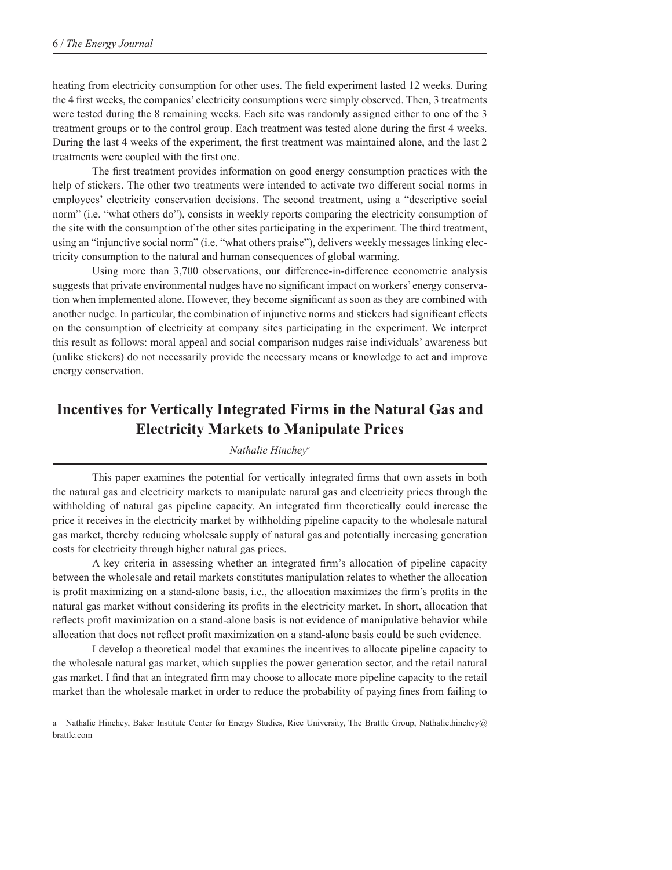heating from electricity consumption for other uses. The field experiment lasted 12 weeks. During the 4 first weeks, the companies' electricity consumptions were simply observed. Then, 3 treatments were tested during the 8 remaining weeks. Each site was randomly assigned either to one of the 3 treatment groups or to the control group. Each treatment was tested alone during the first 4 weeks. During the last 4 weeks of the experiment, the first treatment was maintained alone, and the last 2 treatments were coupled with the first one.

The first treatment provides information on good energy consumption practices with the help of stickers. The other two treatments were intended to activate two different social norms in employees' electricity conservation decisions. The second treatment, using a "descriptive social norm" (i.e. "what others do"), consists in weekly reports comparing the electricity consumption of the site with the consumption of the other sites participating in the experiment. The third treatment, using an "injunctive social norm" (i.e. "what others praise"), delivers weekly messages linking electricity consumption to the natural and human consequences of global warming.

Using more than 3,700 observations, our difference-in-difference econometric analysis suggests that private environmental nudges have no significant impact on workers' energy conservation when implemented alone. However, they become significant as soon as they are combined with another nudge. In particular, the combination of injunctive norms and stickers had significant effects on the consumption of electricity at company sites participating in the experiment. We interpret this result as follows: moral appeal and social comparison nudges raise individuals' awareness but (unlike stickers) do not necessarily provide the necessary means or knowledge to act and improve energy conservation.

## **Incentives for Vertically Integrated Firms in the Natural Gas and Electricity Markets to Manipulate Prices**

*Nathalie Hincheya*

This paper examines the potential for vertically integrated firms that own assets in both the natural gas and electricity markets to manipulate natural gas and electricity prices through the withholding of natural gas pipeline capacity. An integrated firm theoretically could increase the price it receives in the electricity market by withholding pipeline capacity to the wholesale natural gas market, thereby reducing wholesale supply of natural gas and potentially increasing generation costs for electricity through higher natural gas prices.

A key criteria in assessing whether an integrated firm's allocation of pipeline capacity between the wholesale and retail markets constitutes manipulation relates to whether the allocation is profit maximizing on a stand-alone basis, i.e., the allocation maximizes the firm's profits in the natural gas market without considering its profits in the electricity market. In short, allocation that reflects profit maximization on a stand-alone basis is not evidence of manipulative behavior while allocation that does not reflect profit maximization on a stand-alone basis could be such evidence.

I develop a theoretical model that examines the incentives to allocate pipeline capacity to the wholesale natural gas market, which supplies the power generation sector, and the retail natural gas market. I find that an integrated firm may choose to allocate more pipeline capacity to the retail market than the wholesale market in order to reduce the probability of paying fines from failing to

a Nathalie Hinchey, Baker Institute Center for Energy Studies, Rice University, The Brattle Group, Nathalie.hinchey@ brattle.com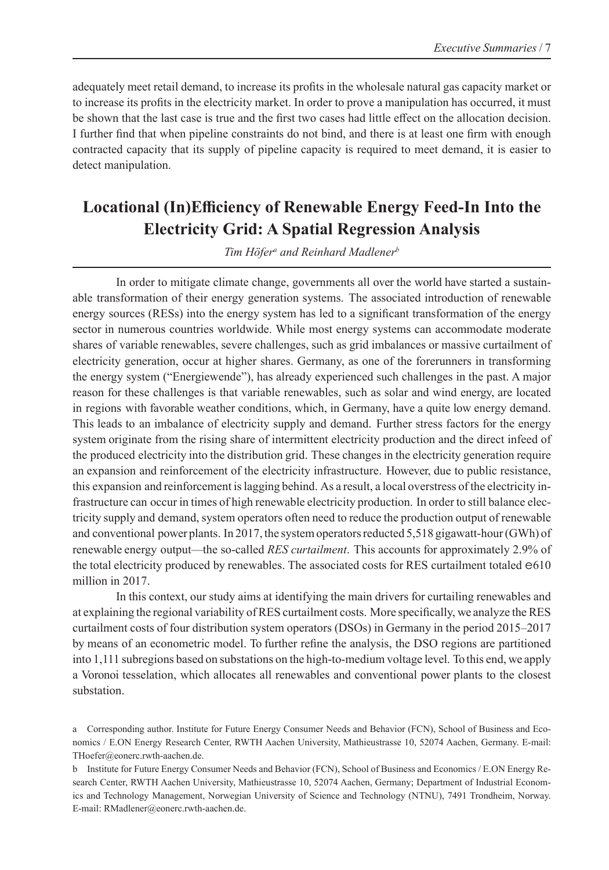adequately meet retail demand, to increase its profits in the wholesale natural gas capacity market or to increase its profits in the electricity market. In order to prove a manipulation has occurred, it must be shown that the last case is true and the first two cases had little effect on the allocation decision. I further find that when pipeline constraints do not bind, and there is at least one firm with enough contracted capacity that its supply of pipeline capacity is required to meet demand, it is easier to detect manipulation.

# **Locational (In)Efficiency of Renewable Energy Feed-In Into the Electricity Grid: A Spatial Regression Analysis**

Tim Höfer<sup>a</sup> and Reinhard Madlener<sup>b</sup>

In order to mitigate climate change, governments all over the world have started a sustainable transformation of their energy generation systems. The associated introduction of renewable energy sources (RESs) into the energy system has led to a significant transformation of the energy sector in numerous countries worldwide. While most energy systems can accommodate moderate shares of variable renewables, severe challenges, such as grid imbalances or massive curtailment of electricity generation, occur at higher shares. Germany, as one of the forerunners in transforming the energy system ("Energiewende"), has already experienced such challenges in the past. A major reason for these challenges is that variable renewables, such as solar and wind energy, are located in regions with favorable weather conditions, which, in Germany, have a quite low energy demand. This leads to an imbalance of electricity supply and demand. Further stress factors for the energy system originate from the rising share of intermittent electricity production and the direct infeed of the produced electricity into the distribution grid. These changes in the electricity generation require an expansion and reinforcement of the electricity infrastructure. However, due to public resistance, this expansion and reinforcement is lagging behind. As a result, a local overstress of the electricity infrastructure can occur in times of high renewable electricity production. In order to still balance electricity supply and demand, system operators often need to reduce the production output of renewable and conventional power plants. In 2017, the system operators reducted 5,518 gigawatt-hour (GWh) of renewable energy output—the so-called *RES curtailment*. This accounts for approximately 2.9% of the total electricity produced by renewables. The associated costs for RES curtailment totaled e610 million in 2017.

In this context, our study aims at identifying the main drivers for curtailing renewables and at explaining the regional variability of RES curtailment costs. More specifically, we analyze the RES curtailment costs of four distribution system operators (DSOs) in Germany in the period 2015–2017 by means of an econometric model. To further refine the analysis, the DSO regions are partitioned into 1,111 subregions based on substations on the high-to-medium voltage level. To this end, we apply a Voronoi tesselation, which allocates all renewables and conventional power plants to the closest substation.

a Corresponding author. Institute for Future Energy Consumer Needs and Behavior (FCN), School of Business and Economics / E.ON Energy Research Center, RWTH Aachen University, Mathieustrasse 10, 52074 Aachen, Germany. E-mail: THoefer@eonerc.rwth-aachen.de.

b Institute for Future Energy Consumer Needs and Behavior (FCN), School of Business and Economics / E.ON Energy Research Center, RWTH Aachen University, Mathieustrasse 10, 52074 Aachen, Germany; Department of Industrial Economics and Technology Management, Norwegian University of Science and Technology (NTNU), 7491 Trondheim, Norway. E-mail: RMadlener@eonerc.rwth-aachen.de.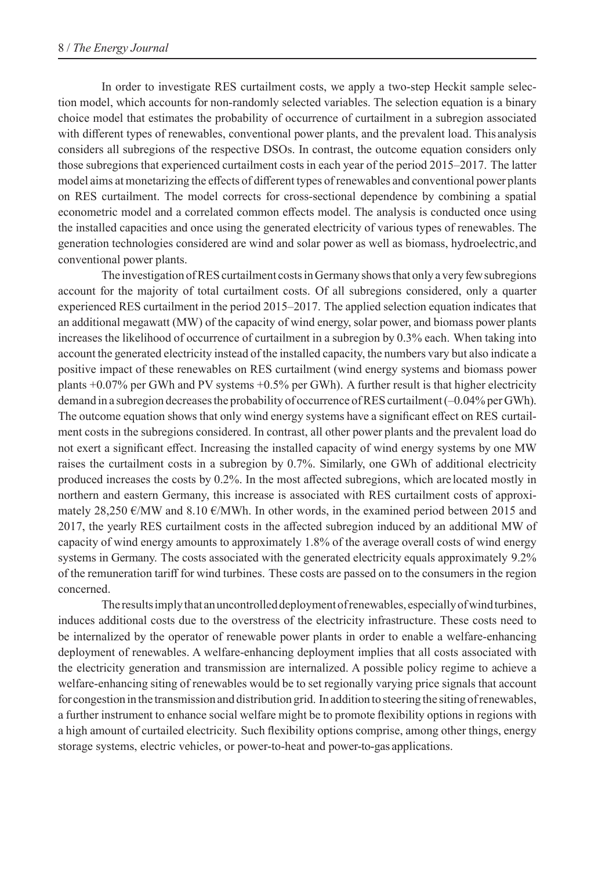In order to investigate RES curtailment costs, we apply a two-step Heckit sample selection model, which accounts for non-randomly selected variables. The selection equation is a binary choice model that estimates the probability of occurrence of curtailment in a subregion associated with different types of renewables, conventional power plants, and the prevalent load. This analysis considers all subregions of the respective DSOs. In contrast, the outcome equation considers only those subregions that experienced curtailment costs in each year of the period 2015–2017. The latter model aims at monetarizing the effects of different types of renewables and conventional power plants on RES curtailment. The model corrects for cross-sectional dependence by combining a spatial econometric model and a correlated common effects model. The analysis is conducted once using the installed capacities and once using the generated electricity of various types of renewables. The generation technologies considered are wind and solar power as well as biomass, hydroelectric, and conventional power plants.

The investigation of RES curtailment costs in Germany shows that only a very few subregions account for the majority of total curtailment costs. Of all subregions considered, only a quarter experienced RES curtailment in the period 2015–2017. The applied selection equation indicates that an additional megawatt (MW) of the capacity of wind energy, solar power, and biomass power plants increases the likelihood of occurrence of curtailment in a subregion by 0.3% each. When taking into account the generated electricity instead of the installed capacity, the numbers vary but also indicate a positive impact of these renewables on RES curtailment (wind energy systems and biomass power plants +0.07% per GWh and PV systems +0.5% per GWh). A further result is that higher electricity demand in a subregion decreases the probability of occurrence of RES curtailment (–0.04% per GWh). The outcome equation shows that only wind energy systems have a significant effect on RES curtailment costs in the subregions considered. In contrast, all other power plants and the prevalent load do not exert a significant effect. Increasing the installed capacity of wind energy systems by one MW raises the curtailment costs in a subregion by 0.7%. Similarly, one GWh of additional electricity produced increases the costs by 0.2%. In the most affected subregions, which are located mostly in northern and eastern Germany, this increase is associated with RES curtailment costs of approximately 28,250  $\epsilon$ /MW and 8.10  $\epsilon$ /MWh. In other words, in the examined period between 2015 and 2017, the yearly RES curtailment costs in the affected subregion induced by an additional MW of capacity of wind energy amounts to approximately 1.8% of the average overall costs of wind energy systems in Germany. The costs associated with the generated electricity equals approximately 9.2% of the remuneration tariff for wind turbines. These costs are passed on to the consumers in the region concerned.

The results imply that an uncontrolled deployment of renewables, especially of wind turbines, induces additional costs due to the overstress of the electricity infrastructure. These costs need to be internalized by the operator of renewable power plants in order to enable a welfare-enhancing deployment of renewables. A welfare-enhancing deployment implies that all costs associated with the electricity generation and transmission are internalized. A possible policy regime to achieve a welfare-enhancing siting of renewables would be to set regionally varying price signals that account for congestion in the transmission and distribution grid. In addition to steering the siting of renewables, a further instrument to enhance social welfare might be to promote flexibility options in regions with a high amount of curtailed electricity. Such flexibility options comprise, among other things, energy storage systems, electric vehicles, or power-to-heat and power-to-gas applications.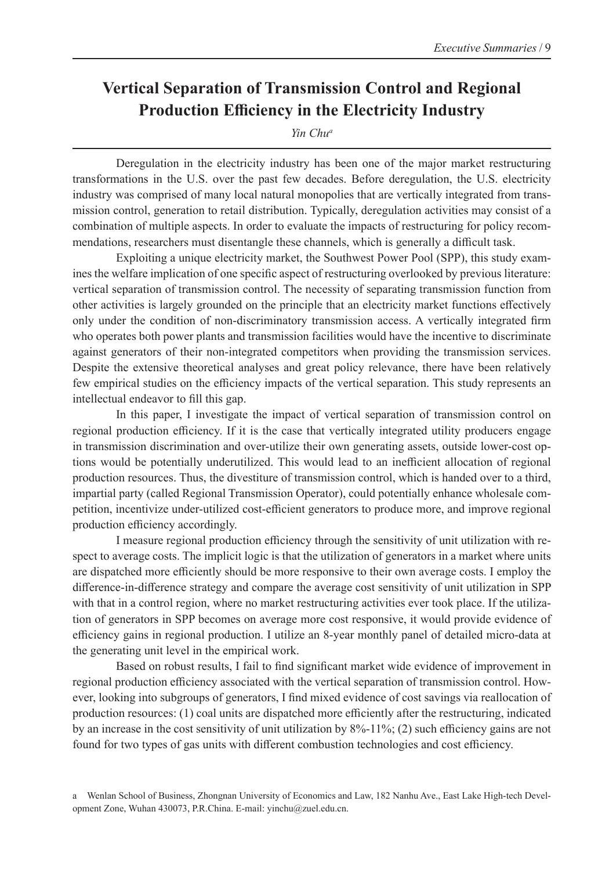#### **Vertical Separation of Transmission Control and Regional Production Efficiency in the Electricity Industry**

*Yin Chua*

Deregulation in the electricity industry has been one of the major market restructuring transformations in the U.S. over the past few decades. Before deregulation, the U.S. electricity industry was comprised of many local natural monopolies that are vertically integrated from transmission control, generation to retail distribution. Typically, deregulation activities may consist of a combination of multiple aspects. In order to evaluate the impacts of restructuring for policy recommendations, researchers must disentangle these channels, which is generally a difficult task.

Exploiting a unique electricity market, the Southwest Power Pool (SPP), this study examines the welfare implication of one specific aspect of restructuring overlooked by previous literature: vertical separation of transmission control. The necessity of separating transmission function from other activities is largely grounded on the principle that an electricity market functions effectively only under the condition of non-discriminatory transmission access. A vertically integrated firm who operates both power plants and transmission facilities would have the incentive to discriminate against generators of their non-integrated competitors when providing the transmission services. Despite the extensive theoretical analyses and great policy relevance, there have been relatively few empirical studies on the efficiency impacts of the vertical separation. This study represents an intellectual endeavor to fill this gap.

In this paper, I investigate the impact of vertical separation of transmission control on regional production efficiency. If it is the case that vertically integrated utility producers engage in transmission discrimination and over-utilize their own generating assets, outside lower-cost options would be potentially underutilized. This would lead to an inefficient allocation of regional production resources. Thus, the divestiture of transmission control, which is handed over to a third, impartial party (called Regional Transmission Operator), could potentially enhance wholesale competition, incentivize under-utilized cost-efficient generators to produce more, and improve regional production efficiency accordingly.

I measure regional production efficiency through the sensitivity of unit utilization with respect to average costs. The implicit logic is that the utilization of generators in a market where units are dispatched more efficiently should be more responsive to their own average costs. I employ the difference-in-difference strategy and compare the average cost sensitivity of unit utilization in SPP with that in a control region, where no market restructuring activities ever took place. If the utilization of generators in SPP becomes on average more cost responsive, it would provide evidence of efficiency gains in regional production. I utilize an 8-year monthly panel of detailed micro-data at the generating unit level in the empirical work.

Based on robust results, I fail to find significant market wide evidence of improvement in regional production efficiency associated with the vertical separation of transmission control. However, looking into subgroups of generators, I find mixed evidence of cost savings via reallocation of production resources: (1) coal units are dispatched more efficiently after the restructuring, indicated by an increase in the cost sensitivity of unit utilization by 8%-11%; (2) such efficiency gains are not found for two types of gas units with different combustion technologies and cost efficiency.

a Wenlan School of Business, Zhongnan University of Economics and Law, 182 Nanhu Ave., East Lake High-tech Development Zone, Wuhan 430073, P.R.China. E-mail: yinchu@zuel.edu.cn.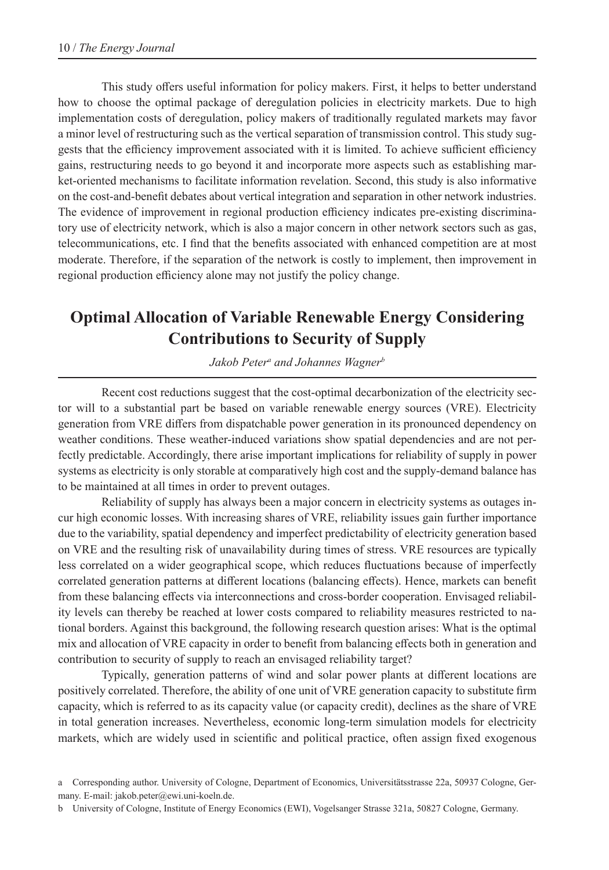This study offers useful information for policy makers. First, it helps to better understand how to choose the optimal package of deregulation policies in electricity markets. Due to high implementation costs of deregulation, policy makers of traditionally regulated markets may favor a minor level of restructuring such as the vertical separation of transmission control. This study suggests that the efficiency improvement associated with it is limited. To achieve sufficient efficiency gains, restructuring needs to go beyond it and incorporate more aspects such as establishing market-oriented mechanisms to facilitate information revelation. Second, this study is also informative on the cost-and-benefit debates about vertical integration and separation in other network industries. The evidence of improvement in regional production efficiency indicates pre-existing discriminatory use of electricity network, which is also a major concern in other network sectors such as gas, telecommunications, etc. I find that the benefits associated with enhanced competition are at most moderate. Therefore, if the separation of the network is costly to implement, then improvement in regional production efficiency alone may not justify the policy change.

## **Optimal Allocation of Variable Renewable Energy Considering Contributions to Security of Supply**

*Jakob Petera and Johannes Wagnerb*

Recent cost reductions suggest that the cost-optimal decarbonization of the electricity sector will to a substantial part be based on variable renewable energy sources (VRE). Electricity generation from VRE differs from dispatchable power generation in its pronounced dependency on weather conditions. These weather-induced variations show spatial dependencies and are not perfectly predictable. Accordingly, there arise important implications for reliability of supply in power systems as electricity is only storable at comparatively high cost and the supply-demand balance has to be maintained at all times in order to prevent outages.

Reliability of supply has always been a major concern in electricity systems as outages incur high economic losses. With increasing shares of VRE, reliability issues gain further importance due to the variability, spatial dependency and imperfect predictability of electricity generation based on VRE and the resulting risk of unavailability during times of stress. VRE resources are typically less correlated on a wider geographical scope, which reduces fluctuations because of imperfectly correlated generation patterns at different locations (balancing effects). Hence, markets can benefit from these balancing effects via interconnections and cross-border cooperation. Envisaged reliability levels can thereby be reached at lower costs compared to reliability measures restricted to national borders. Against this background, the following research question arises: What is the optimal mix and allocation of VRE capacity in order to benefit from balancing effects both in generation and contribution to security of supply to reach an envisaged reliability target?

Typically, generation patterns of wind and solar power plants at different locations are positively correlated. Therefore, the ability of one unit of VRE generation capacity to substitute firm capacity, which is referred to as its capacity value (or capacity credit), declines as the share of VRE in total generation increases. Nevertheless, economic long-term simulation models for electricity markets, which are widely used in scientific and political practice, often assign fixed exogenous

a Corresponding author. University of Cologne, Department of Economics, Universitätsstrasse 22a, 50937 Cologne, Germany. E-mail: jakob.peter@ewi.uni-koeln.de.

b University of Cologne, Institute of Energy Economics (EWI), Vogelsanger Strasse 321a, 50827 Cologne, Germany.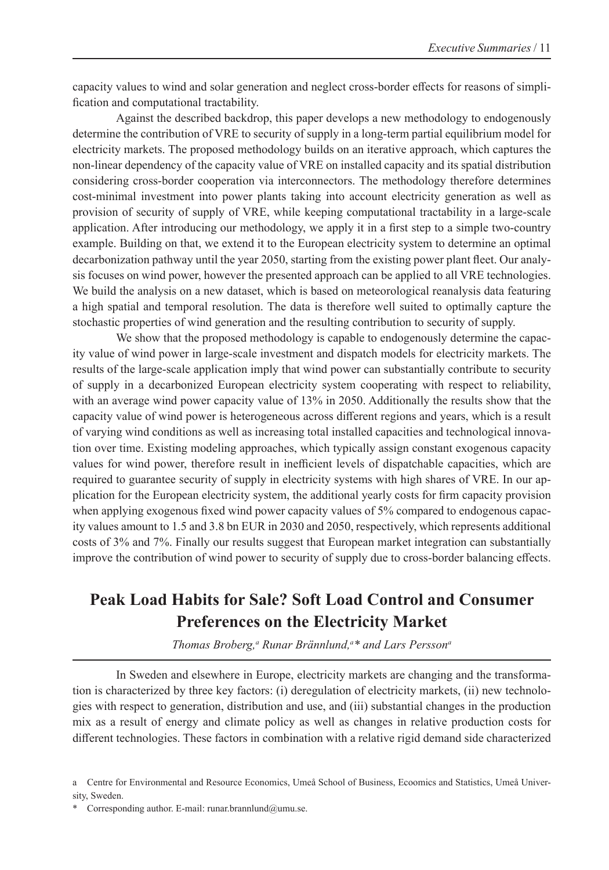capacity values to wind and solar generation and neglect cross-border effects for reasons of simplification and computational tractability.

Against the described backdrop, this paper develops a new methodology to endogenously determine the contribution of VRE to security of supply in a long-term partial equilibrium model for electricity markets. The proposed methodology builds on an iterative approach, which captures the non-linear dependency of the capacity value of VRE on installed capacity and its spatial distribution considering cross-border cooperation via interconnectors. The methodology therefore determines cost-minimal investment into power plants taking into account electricity generation as well as provision of security of supply of VRE, while keeping computational tractability in a large-scale application. After introducing our methodology, we apply it in a first step to a simple two-country example. Building on that, we extend it to the European electricity system to determine an optimal decarbonization pathway until the year 2050, starting from the existing power plant fleet. Our analysis focuses on wind power, however the presented approach can be applied to all VRE technologies. We build the analysis on a new dataset, which is based on meteorological reanalysis data featuring a high spatial and temporal resolution. The data is therefore well suited to optimally capture the stochastic properties of wind generation and the resulting contribution to security of supply.

We show that the proposed methodology is capable to endogenously determine the capacity value of wind power in large-scale investment and dispatch models for electricity markets. The results of the large-scale application imply that wind power can substantially contribute to security of supply in a decarbonized European electricity system cooperating with respect to reliability, with an average wind power capacity value of 13% in 2050. Additionally the results show that the capacity value of wind power is heterogeneous across different regions and years, which is a result of varying wind conditions as well as increasing total installed capacities and technological innovation over time. Existing modeling approaches, which typically assign constant exogenous capacity values for wind power, therefore result in inefficient levels of dispatchable capacities, which are required to guarantee security of supply in electricity systems with high shares of VRE. In our application for the European electricity system, the additional yearly costs for firm capacity provision when applying exogenous fixed wind power capacity values of 5% compared to endogenous capacity values amount to 1.5 and 3.8 bn EUR in 2030 and 2050, respectively, which represents additional costs of 3% and 7%. Finally our results suggest that European market integration can substantially improve the contribution of wind power to security of supply due to cross-border balancing effects.

#### **Peak Load Habits for Sale? Soft Load Control and Consumer Preferences on the Electricity Market**

*Thomas Broberg,<sup>a</sup> Runar Brännlund,<sup>a\*</sup> and Lars Persson<sup>a</sup>* 

In Sweden and elsewhere in Europe, electricity markets are changing and the transformation is characterized by three key factors: (i) deregulation of electricity markets, (ii) new technologies with respect to generation, distribution and use, and (iii) substantial changes in the production mix as a result of energy and climate policy as well as changes in relative production costs for different technologies. These factors in combination with a relative rigid demand side characterized

a Centre for Environmental and Resource Economics, Umeå School of Business, Ecoomics and Statistics, Umeå University, Sweden.

<sup>\*</sup> Corresponding author. E-mail: runar.brannlund@umu.se.